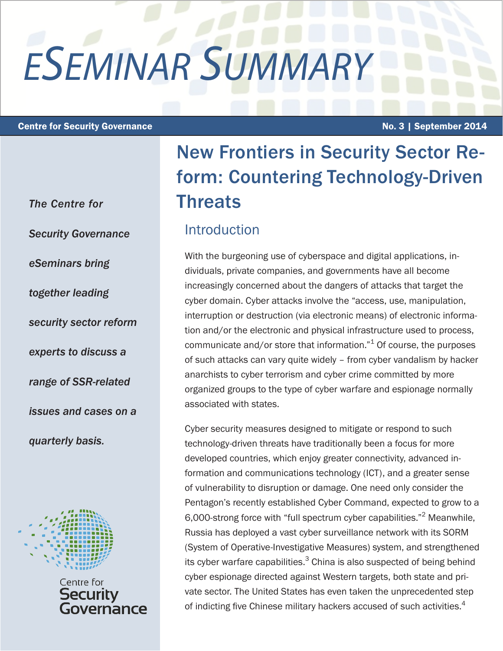# *ESEMINAR SUMMARY*

#### Centre for Security Governance **No. 3** | September 2014

*The Centre for Security Governance eSeminars bring together leading security sector reform experts to discuss a range of SSR-related issues and cases on a quarterly basis.* 



Centre for Security ernance

# New Frontiers in Security Sector Reform: Countering Technology-Driven **Threats**

### Introduction

With the burgeoning use of cyberspace and digital applications, individuals, private companies, and governments have all become increasingly concerned about the dangers of attacks that target the cyber domain. Cyber attacks involve the "access, use, manipulation, interruption or destruction (via electronic means) of electronic information and/or the electronic and physical infrastructure used to process, communicate and/or store that information." $1$  Of course, the purposes of such attacks can vary quite widely – from cyber vandalism by hacker anarchists to cyber terrorism and cyber crime committed by more organized groups to the type of cyber warfare and espionage normally associated with states.

Cyber security measures designed to mitigate or respond to such technology-driven threats have traditionally been a focus for more developed countries, which enjoy greater connectivity, advanced information and communications technology (ICT), and a greater sense of vulnerability to disruption or damage. One need only consider the Pentagon's recently established Cyber Command, expected to grow to a 6,000-strong force with "full spectrum cyber capabilities."<sup>2</sup> Meanwhile, Russia has deployed a vast cyber surveillance network with its SORM (System of Operative-Investigative Measures) system, and strengthened its cyber warfare capabilities. $^3$  China is also suspected of being behind cyber espionage directed against Western targets, both state and private sector. The United States has even taken the unprecedented step of indicting five Chinese military hackers accused of such activities.<sup>4</sup>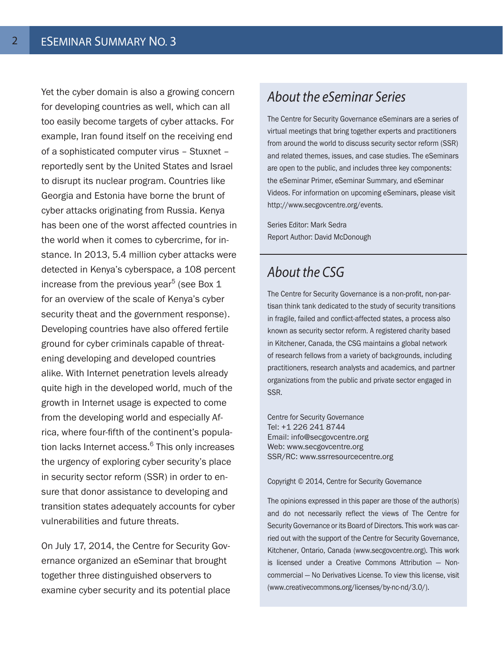Yet the cyber domain is also a growing concern for developing countries as well, which can all too easily become targets of cyber attacks. For example, Iran found itself on the receiving end of a sophisticated computer virus – Stuxnet – reportedly sent by the United States and Israel to disrupt its nuclear program. Countries like Georgia and Estonia have borne the brunt of cyber attacks originating from Russia. Kenya has been one of the worst affected countries in the world when it comes to cybercrime, for instance. In 2013, 5.4 million cyber attacks were detected in Kenya's cyberspace, a 108 percent increase from the previous year $^5$  (see Box 1 for an overview of the scale of Kenya's cyber security theat and the government response). Developing countries have also offered fertile ground for cyber criminals capable of threatening developing and developed countries alike. With Internet penetration levels already quite high in the developed world, much of the growth in Internet usage is expected to come from the developing world and especially Africa, where four-fifth of the continent's population lacks Internet access.<sup>6</sup> This only increases the urgency of exploring cyber security's place in security sector reform (SSR) in order to ensure that donor assistance to developing and transition states adequately accounts for cyber vulnerabilities and future threats.

On July 17, 2014, the Centre for Security Governance organized an eSeminar that brought together three distinguished observers to examine cyber security and its potential place

# *About the eSeminar Series*

The Centre for Security Governance eSeminars are a series of virtual meetings that bring together experts and practitioners from around the world to discuss security sector reform (SSR) and related themes, issues, and case studies. The eSeminars are open to the public, and includes three key components: the eSeminar Primer, eSeminar Summary, and eSeminar Videos. For information on upcoming eSeminars, please visit http://www.secgovcentre.org/events.

Series Editor: Mark Sedra Report Author: David McDonough

# *About the CSG*

The Centre for Security Governance is a non-profit, non-partisan think tank dedicated to the study of security transitions in fragile, failed and conflict-affected states, a process also known as security sector reform. A registered charity based in Kitchener, Canada, the CSG maintains a global network of research fellows from a variety of backgrounds, including practitioners, research analysts and academics, and partner organizations from the public and private sector engaged in SSR.

Centre for Security Governance Tel: +1 226 241 8744 Email: info@secgovcentre.org Web: www.secgovcentre.org SSR/RC: www.ssrresourcecentre.org

Copyright © 2014, Centre for Security Governance

The opinions expressed in this paper are those of the author(s) and do not necessarily reflect the views of The Centre for Security Governance or its Board of Directors. This work was carried out with the support of the Centre for Security Governance, Kitchener, Ontario, Canada (www.secgovcentre.org). This work is licensed under a Creative Commons Attribution — Noncommercial — No Derivatives License. To view this license, visit (www.creativecommons.org/licenses/by-nc-nd/3.0/).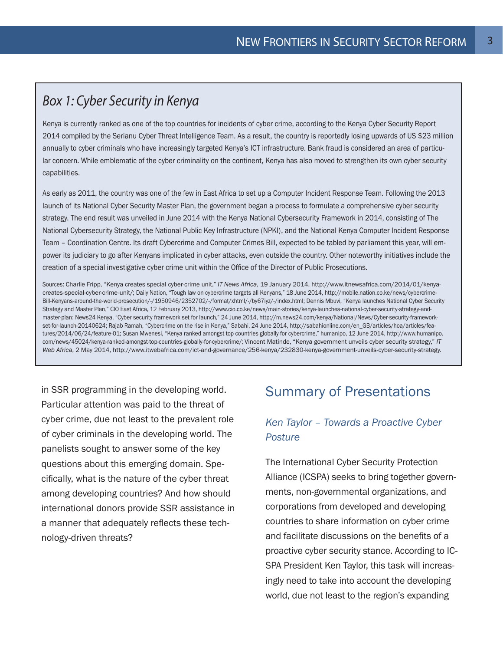# *Box 1: Cyber Security in Kenya*

Kenya is currently ranked as one of the top countries for incidents of cyber crime, according to the Kenya Cyber Security Report 2014 compiled by the Serianu Cyber Threat Intelligence Team. As a result, the country is reportedly losing upwards of US \$23 million annually to cyber criminals who have increasingly targeted Kenya's ICT infrastructure. Bank fraud is considered an area of particular concern. While emblematic of the cyber criminality on the continent, Kenya has also moved to strengthen its own cyber security capabilities.

As early as 2011, the country was one of the few in East Africa to set up a Computer Incident Response Team. Following the 2013 launch of its National Cyber Security Master Plan, the government began a process to formulate a comprehensive cyber security strategy. The end result was unveiled in June 2014 with the Kenya National Cybersecurity Framework in 2014, consisting of The National Cybersecurity Strategy, the National Public Key Infrastructure (NPKI), and the National Kenya Computer Incident Response Team – Coordination Centre. Its draft Cybercrime and Computer Crimes Bill, expected to be tabled by parliament this year, will empower its judiciary to go after Kenyans implicated in cyber attacks, even outside the country. Other noteworthy initiatives include the creation of a special investigative cyber crime unit within the Office of the Director of Public Prosecutions.

Sources: Charlie Fripp, "Kenya creates special cyber-crime unit," *IT News Africa*, 19 January 2014, http://www.itnewsafrica.com/2014/01/kenyacreates-special-cyber-crime-unit/; Daily Nation, "Tough law on cybercrime targets all Kenyans," 18 June 2014, http://mobile.nation.co.ke/news/cybercrime-Bill-Kenyans-around-the-world-prosecution/-/1950946/2352702/-/format/xhtml/-/by67iyz/-/index.html; Dennis Mbuvi, "Kenya launches National Cyber Security Strategy and Master Plan," CIO East Africa, 12 February 2013, http://www.cio.co.ke/news/main-stories/kenya-launches-national-cyber-security-strategy-andmaster-plan; News24 Kenya, "Cyber security framework set for launch," 24 June 2014, http://m.news24.com/kenya/National/News/Cyber-security-frameworkset-for-launch-20140624; Rajab Ramah, "Cybercrime on the rise in Kenya," Sabahi, 24 June 2014, http://sabahionline.com/en\_GB/articles/hoa/articles/features/2014/06/24/feature-01; Susan Mwenesi, "Kenya ranked amongst top countries globally for cybercrime," humanipo, 12 June 2014, http://www.humanipo. com/news/45024/kenya-ranked-amongst-top-countries-globally-for-cybercrime/; Vincent Matinde, "Kenya government unveils cyber security strategy," *IT Web Africa*, 2 May 2014, http://www.itwebafrica.com/ict-and-governance/256-kenya/232830-kenya-government-unveils-cyber-security-strategy.

in SSR programming in the developing world. Particular attention was paid to the threat of cyber crime, due not least to the prevalent role of cyber criminals in the developing world. The panelists sought to answer some of the key questions about this emerging domain. Specifically, what is the nature of the cyber threat among developing countries? And how should international donors provide SSR assistance in a manner that adequately reflects these technology-driven threats?

# Summary of Presentations

#### *Ken Taylor – Towards a Proactive Cyber Posture*

The International Cyber Security Protection Alliance (ICSPA) seeks to bring together governments, non-governmental organizations, and corporations from developed and developing countries to share information on cyber crime and facilitate discussions on the benefits of a proactive cyber security stance. According to IC-SPA President Ken Taylor, this task will increasingly need to take into account the developing world, due not least to the region's expanding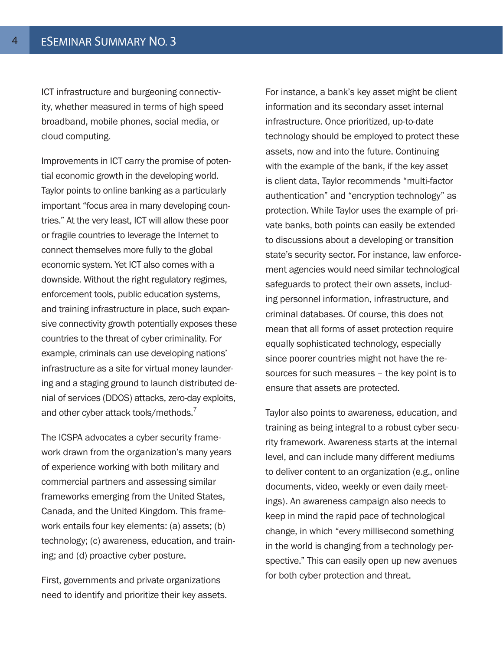ICT infrastructure and burgeoning connectivity, whether measured in terms of high speed broadband, mobile phones, social media, or cloud computing.

Improvements in ICT carry the promise of potential economic growth in the developing world. Taylor points to online banking as a particularly important "focus area in many developing countries." At the very least, ICT will allow these poor or fragile countries to leverage the Internet to connect themselves more fully to the global economic system. Yet ICT also comes with a downside. Without the right regulatory regimes, enforcement tools, public education systems, and training infrastructure in place, such expansive connectivity growth potentially exposes these countries to the threat of cyber criminality. For example, criminals can use developing nations' infrastructure as a site for virtual money laundering and a staging ground to launch distributed denial of services (DDOS) attacks, zero-day exploits, and other cyber attack tools/methods.<sup>7</sup>

The ICSPA advocates a cyber security framework drawn from the organization's many years of experience working with both military and commercial partners and assessing similar frameworks emerging from the United States, Canada, and the United Kingdom. This framework entails four key elements: (a) assets; (b) technology; (c) awareness, education, and training; and (d) proactive cyber posture.

First, governments and private organizations need to identify and prioritize their key assets.

For instance, a bank's key asset might be client information and its secondary asset internal infrastructure. Once prioritized, up-to-date technology should be employed to protect these assets, now and into the future. Continuing with the example of the bank, if the key asset is client data, Taylor recommends "multi-factor authentication" and "encryption technology" as protection. While Taylor uses the example of private banks, both points can easily be extended to discussions about a developing or transition state's security sector. For instance, law enforcement agencies would need similar technological safeguards to protect their own assets, including personnel information, infrastructure, and criminal databases. Of course, this does not mean that all forms of asset protection require equally sophisticated technology, especially since poorer countries might not have the resources for such measures – the key point is to ensure that assets are protected.

Taylor also points to awareness, education, and training as being integral to a robust cyber security framework. Awareness starts at the internal level, and can include many different mediums to deliver content to an organization (e.g., online documents, video, weekly or even daily meetings). An awareness campaign also needs to keep in mind the rapid pace of technological change, in which "every millisecond something in the world is changing from a technology perspective." This can easily open up new avenues for both cyber protection and threat.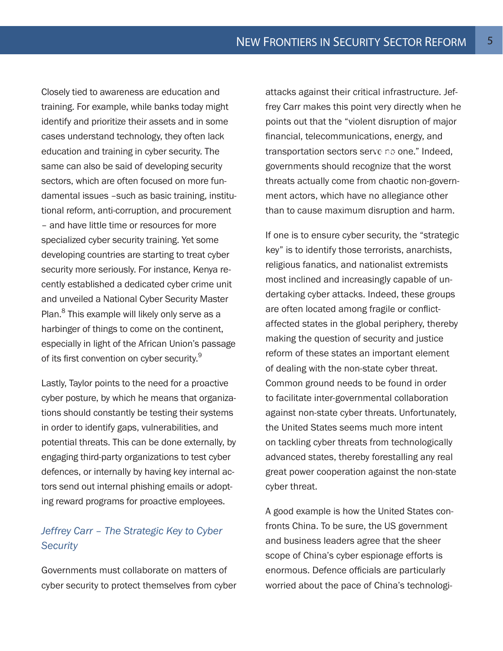Closely tied to awareness are education and training. For example, while banks today might identify and prioritize their assets and in some cases understand technology, they often lack education and training in cyber security. The same can also be said of developing security sectors, which are often focused on more fundamental issues –such as basic training, institutional reform, anti-corruption, and procurement – and have little time or resources for more specialized cyber security training. Yet some developing countries are starting to treat cyber security more seriously. For instance, Kenya recently established a dedicated cyber crime unit and unveiled a National Cyber Security Master Plan.<sup>8</sup> This example will likely only serve as a harbinger of things to come on the continent, especially in light of the African Union's passage of its first convention on cyber security.<sup>9</sup>

Lastly, Taylor points to the need for a proactive cyber posture, by which he means that organizations should constantly be testing their systems in order to identify gaps, vulnerabilities, and potential threats. This can be done externally, by engaging third-party organizations to test cyber defences, or internally by having key internal actors send out internal phishing emails or adopting reward programs for proactive employees.

#### *Jeffrey Carr – The Strategic Key to Cyber Security*

Governments must collaborate on matters of cyber security to protect themselves from cyber attacks against their critical infrastructure. Jeffrey Carr makes this point very directly when he points out that the "violent disruption of major financial, telecommunications, energy, and transportation sectors serve no one." Indeed, governments should recognize that the worst threats actually come from chaotic non-government actors, which have no allegiance other than to cause maximum disruption and harm.  $88.28$ 

If one is to ensure cyber security, the "strategic key" is to identify those terrorists, anarchists, religious fanatics, and nationalist extremists most inclined and increasingly capable of undertaking cyber attacks. Indeed, these groups are often located among fragile or conflictaffected states in the global periphery, thereby making the question of security and justice reform of these states an important element of dealing with the non-state cyber threat. Common ground needs to be found in order to facilitate inter-governmental collaboration against non-state cyber threats. Unfortunately, the United States seems much more intent on tackling cyber threats from technologically advanced states, thereby forestalling any real great power cooperation against the non-state cyber threat.

A good example is how the United States confronts China. To be sure, the US government and business leaders agree that the sheer scope of China's cyber espionage efforts is enormous. Defence officials are particularly worried about the pace of China's technologi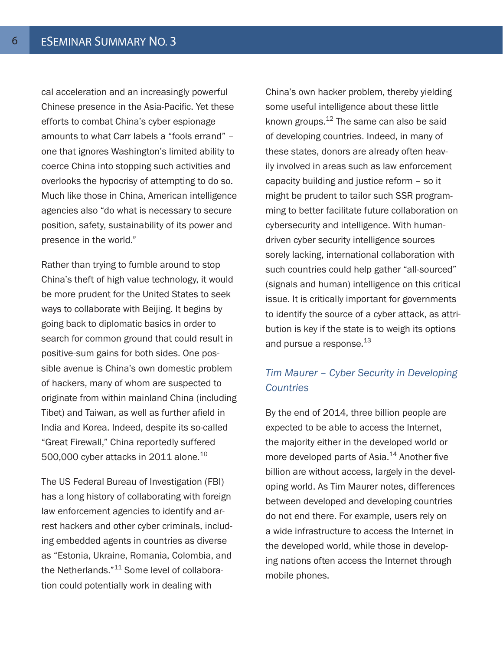cal acceleration and an increasingly powerful Chinese presence in the Asia-Pacific. Yet these efforts to combat China's cyber espionage amounts to what Carr labels a "fools errand" – one that ignores Washington's limited ability to coerce China into stopping such activities and overlooks the hypocrisy of attempting to do so. Much like those in China, American intelligence agencies also "do what is necessary to secure position, safety, sustainability of its power and presence in the world."

Rather than trying to fumble around to stop China's theft of high value technology, it would be more prudent for the United States to seek ways to collaborate with Beijing. It begins by going back to diplomatic basics in order to search for common ground that could result in positive-sum gains for both sides. One possible avenue is China's own domestic problem of hackers, many of whom are suspected to originate from within mainland China (including Tibet) and Taiwan, as well as further afield in India and Korea. Indeed, despite its so-called "Great Firewall," China reportedly suffered 500,000 cyber attacks in 2011 alone. $10$ 

The US Federal Bureau of Investigation (FBI) has a long history of collaborating with foreign law enforcement agencies to identify and arrest hackers and other cyber criminals, including embedded agents in countries as diverse as "Estonia, Ukraine, Romania, Colombia, and the Netherlands."<sup>11</sup> Some level of collaboration could potentially work in dealing with

China's own hacker problem, thereby yielding some useful intelligence about these little known groups.12 The same can also be said of developing countries. Indeed, in many of these states, donors are already often heavily involved in areas such as law enforcement capacity building and justice reform – so it might be prudent to tailor such SSR programming to better facilitate future collaboration on cybersecurity and intelligence. With humandriven cyber security intelligence sources sorely lacking, international collaboration with such countries could help gather "all-sourced" (signals and human) intelligence on this critical issue. It is critically important for governments to identify the source of a cyber attack, as attribution is key if the state is to weigh its options and pursue a response.<sup>13</sup>

#### *Tim Maurer – Cyber Security in Developing Countries*

By the end of 2014, three billion people are expected to be able to access the Internet, the majority either in the developed world or more developed parts of Asia.<sup>14</sup> Another five billion are without access, largely in the developing world. As Tim Maurer notes, differences between developed and developing countries do not end there. For example, users rely on a wide infrastructure to access the Internet in the developed world, while those in developing nations often access the Internet through mobile phones.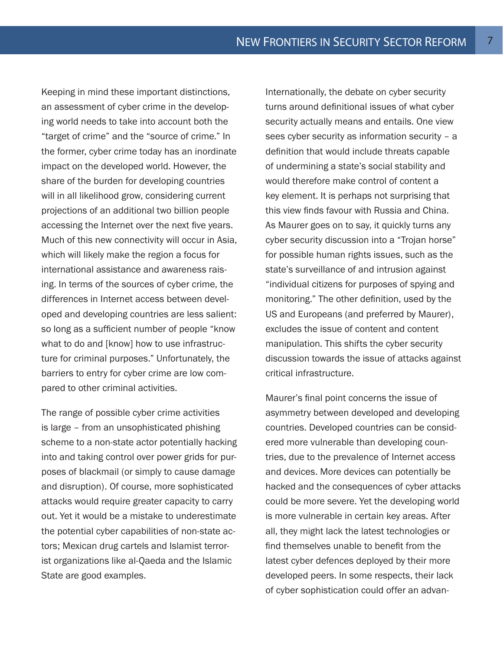Keeping in mind these important distinctions, an assessment of cyber crime in the developing world needs to take into account both the "target of crime" and the "source of crime." In the former, cyber crime today has an inordinate impact on the developed world. However, the share of the burden for developing countries will in all likelihood grow, considering current projections of an additional two billion people accessing the Internet over the next five years. Much of this new connectivity will occur in Asia, which will likely make the region a focus for international assistance and awareness raising. In terms of the sources of cyber crime, the differences in Internet access between developed and developing countries are less salient: so long as a sufficient number of people "know what to do and [know] how to use infrastructure for criminal purposes." Unfortunately, the barriers to entry for cyber crime are low compared to other criminal activities.

The range of possible cyber crime activities is large – from an unsophisticated phishing scheme to a non-state actor potentially hacking into and taking control over power grids for purposes of blackmail (or simply to cause damage and disruption). Of course, more sophisticated attacks would require greater capacity to carry out. Yet it would be a mistake to underestimate the potential cyber capabilities of non-state actors; Mexican drug cartels and Islamist terrorist organizations like al-Qaeda and the Islamic State are good examples.

Internationally, the debate on cyber security turns around definitional issues of what cyber security actually means and entails. One view sees cyber security as information security – a definition that would include threats capable of undermining a state's social stability and would therefore make control of content a key element. It is perhaps not surprising that this view finds favour with Russia and China. As Maurer goes on to say, it quickly turns any cyber security discussion into a "Trojan horse" for possible human rights issues, such as the state's surveillance of and intrusion against "individual citizens for purposes of spying and monitoring." The other definition, used by the US and Europeans (and preferred by Maurer), excludes the issue of content and content manipulation. This shifts the cyber security discussion towards the issue of attacks against critical infrastructure.

Maurer's final point concerns the issue of asymmetry between developed and developing countries. Developed countries can be considered more vulnerable than developing countries, due to the prevalence of Internet access and devices. More devices can potentially be hacked and the consequences of cyber attacks could be more severe. Yet the developing world is more vulnerable in certain key areas. After all, they might lack the latest technologies or find themselves unable to benefit from the latest cyber defences deployed by their more developed peers. In some respects, their lack of cyber sophistication could offer an advan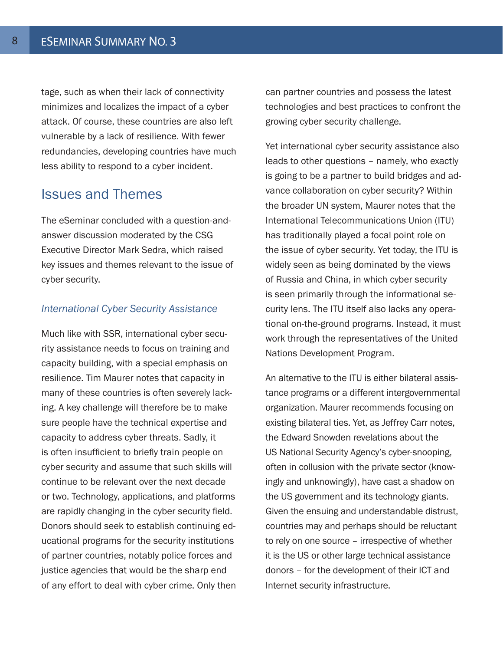tage, such as when their lack of connectivity minimizes and localizes the impact of a cyber attack. Of course, these countries are also left vulnerable by a lack of resilience. With fewer redundancies, developing countries have much less ability to respond to a cyber incident.

#### Issues and Themes

The eSeminar concluded with a question-andanswer discussion moderated by the CSG Executive Director Mark Sedra, which raised key issues and themes relevant to the issue of cyber security.

#### *International Cyber Security Assistance*

Much like with SSR, international cyber security assistance needs to focus on training and capacity building, with a special emphasis on resilience. Tim Maurer notes that capacity in many of these countries is often severely lacking. A key challenge will therefore be to make sure people have the technical expertise and capacity to address cyber threats. Sadly, it is often insufficient to briefly train people on cyber security and assume that such skills will continue to be relevant over the next decade or two. Technology, applications, and platforms are rapidly changing in the cyber security field. Donors should seek to establish continuing educational programs for the security institutions of partner countries, notably police forces and justice agencies that would be the sharp end of any effort to deal with cyber crime. Only then can partner countries and possess the latest technologies and best practices to confront the growing cyber security challenge.

Yet international cyber security assistance also leads to other questions – namely, who exactly is going to be a partner to build bridges and advance collaboration on cyber security? Within the broader UN system, Maurer notes that the International Telecommunications Union (ITU) has traditionally played a focal point role on the issue of cyber security. Yet today, the ITU is widely seen as being dominated by the views of Russia and China, in which cyber security is seen primarily through the informational security lens. The ITU itself also lacks any operational on-the-ground programs. Instead, it must work through the representatives of the United Nations Development Program.

An alternative to the ITU is either bilateral assistance programs or a different intergovernmental organization. Maurer recommends focusing on existing bilateral ties. Yet, as Jeffrey Carr notes, the Edward Snowden revelations about the US National Security Agency's cyber-snooping, often in collusion with the private sector (knowingly and unknowingly), have cast a shadow on the US government and its technology giants. Given the ensuing and understandable distrust, countries may and perhaps should be reluctant to rely on one source – irrespective of whether it is the US or other large technical assistance donors – for the development of their ICT and Internet security infrastructure.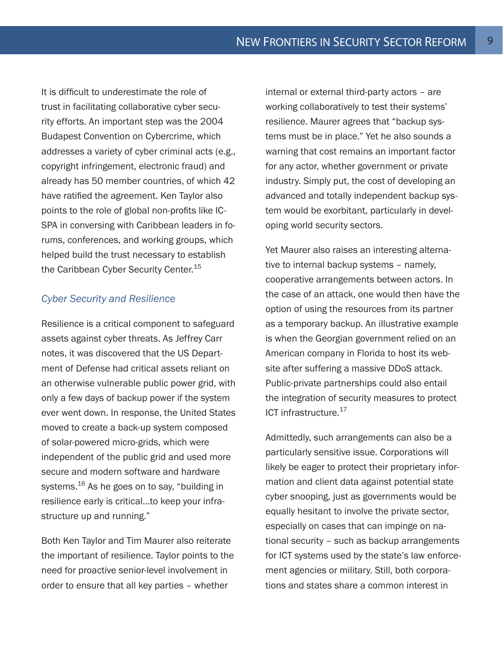It is difficult to underestimate the role of trust in facilitating collaborative cyber security efforts. An important step was the 2004 Budapest Convention on Cybercrime, which addresses a variety of cyber criminal acts (e.g., copyright infringement, electronic fraud) and already has 50 member countries, of which 42 have ratified the agreement. Ken Taylor also points to the role of global non-profits like IC-SPA in conversing with Caribbean leaders in forums, conferences, and working groups, which helped build the trust necessary to establish the Caribbean Cyber Security Center.<sup>15</sup>

#### *Cyber Security and Resilience*

Resilience is a critical component to safeguard assets against cyber threats. As Jeffrey Carr notes, it was discovered that the US Department of Defense had critical assets reliant on an otherwise vulnerable public power grid, with only a few days of backup power if the system ever went down. In response, the United States moved to create a back-up system composed of solar-powered micro-grids, which were independent of the public grid and used more secure and modern software and hardware systems.<sup>16</sup> As he goes on to say, "building in resilience early is critical…to keep your infrastructure up and running."

Both Ken Taylor and Tim Maurer also reiterate the important of resilience. Taylor points to the need for proactive senior-level involvement in order to ensure that all key parties – whether

internal or external third-party actors – are working collaboratively to test their systems' resilience. Maurer agrees that "backup systems must be in place." Yet he also sounds a warning that cost remains an important factor for any actor, whether government or private industry. Simply put, the cost of developing an advanced and totally independent backup system would be exorbitant, particularly in developing world security sectors.

Yet Maurer also raises an interesting alternative to internal backup systems – namely, cooperative arrangements between actors. In the case of an attack, one would then have the option of using the resources from its partner as a temporary backup. An illustrative example is when the Georgian government relied on an American company in Florida to host its website after suffering a massive DDoS attack. Public-private partnerships could also entail the integration of security measures to protect ICT infrastructure.<sup>17</sup>

Admittedly, such arrangements can also be a particularly sensitive issue. Corporations will likely be eager to protect their proprietary information and client data against potential state cyber snooping, just as governments would be equally hesitant to involve the private sector, especially on cases that can impinge on national security – such as backup arrangements for ICT systems used by the state's law enforcement agencies or military. Still, both corporations and states share a common interest in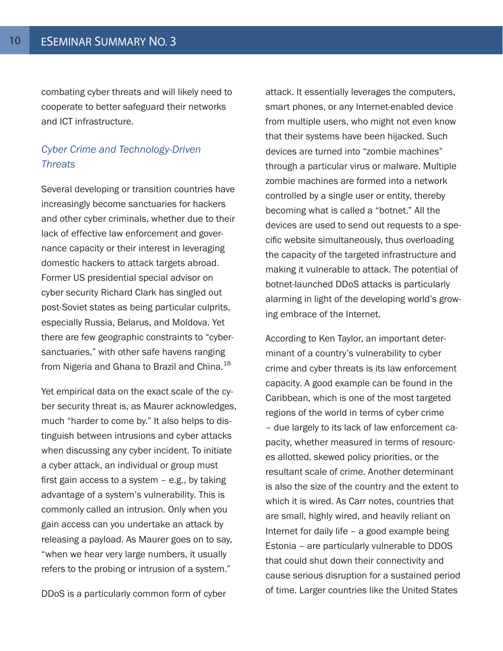combating cyber threats and will likely need to cooperate to better safeguard their networks and ICT infrastructure.

#### *Cyber Crime and Technology-Driven Threats*

Several developing or transition countries have increasingly become sanctuaries for hackers and other cyber criminals, whether due to their lack of effective law enforcement and governance capacity or their interest in leveraging domestic hackers to attack targets abroad. Former US presidential special advisor on cyber security Richard Clark has singled out post-Soviet states as being particular culprits, especially Russia, Belarus, and Moldova. Yet there are few geographic constraints to "cybersanctuaries," with other safe havens ranging from Nigeria and Ghana to Brazil and China.<sup>18</sup>

Yet empirical data on the exact scale of the cyber security threat is, as Maurer acknowledges, much "harder to come by." It also helps to distinguish between intrusions and cyber attacks when discussing any cyber incident. To initiate a cyber attack, an individual or group must first gain access to a system – e.g., by taking advantage of a system's vulnerability. This is commonly called an intrusion. Only when you gain access can you undertake an attack by releasing a payload. As Maurer goes on to say, "when we hear very large numbers, it usually refers to the probing or intrusion of a system."

DDoS is a particularly common form of cyber

attack. It essentially leverages the computers, smart phones, or any Internet-enabled device from multiple users, who might not even know that their systems have been hijacked. Such devices are turned into "zombie machines" through a particular virus or malware. Multiple zombie machines are formed into a network controlled by a single user or entity, thereby becoming what is called a "botnet." All the devices are used to send out requests to a specific website simultaneously, thus overloading the capacity of the targeted infrastructure and making it vulnerable to attack. The potential of botnet-launched DDoS attacks is particularly alarming in light of the developing world's growing embrace of the Internet.

According to Ken Taylor, an important determinant of a country's vulnerability to cyber crime and cyber threats is its law enforcement capacity. A good example can be found in the Caribbean, which is one of the most targeted regions of the world in terms of cyber crime – due largely to its lack of law enforcement capacity, whether measured in terms of resources allotted, skewed policy priorities, or the resultant scale of crime. Another determinant is also the size of the country and the extent to which it is wired. As Carr notes, countries that are small, highly wired, and heavily reliant on Internet for daily life – a good example being Estonia – are particularly vulnerable to DDOS that could shut down their connectivity and cause serious disruption for a sustained period of time. Larger countries like the United States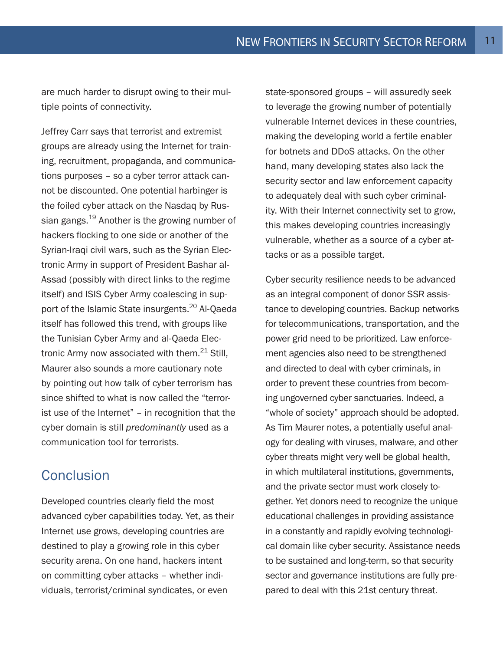are much harder to disrupt owing to their multiple points of connectivity.

Jeffrey Carr says that terrorist and extremist groups are already using the Internet for training, recruitment, propaganda, and communications purposes – so a cyber terror attack cannot be discounted. One potential harbinger is the foiled cyber attack on the Nasdaq by Russian gangs.<sup>19</sup> Another is the growing number of hackers flocking to one side or another of the Syrian-Iraqi civil wars, such as the Syrian Electronic Army in support of President Bashar al-Assad (possibly with direct links to the regime itself) and ISIS Cyber Army coalescing in support of the Islamic State insurgents.<sup>20</sup> Al-Qaeda itself has followed this trend, with groups like the Tunisian Cyber Army and al-Qaeda Electronic Army now associated with them.<sup>21</sup> Still, Maurer also sounds a more cautionary note by pointing out how talk of cyber terrorism has since shifted to what is now called the "terrorist use of the Internet" – in recognition that the cyber domain is still *predominantly* used as a communication tool for terrorists.

# **Conclusion**

Developed countries clearly field the most advanced cyber capabilities today. Yet, as their Internet use grows, developing countries are destined to play a growing role in this cyber security arena. On one hand, hackers intent on committing cyber attacks – whether individuals, terrorist/criminal syndicates, or even

state-sponsored groups – will assuredly seek to leverage the growing number of potentially vulnerable Internet devices in these countries, making the developing world a fertile enabler for botnets and DDoS attacks. On the other hand, many developing states also lack the security sector and law enforcement capacity to adequately deal with such cyber criminality. With their Internet connectivity set to grow, this makes developing countries increasingly vulnerable, whether as a source of a cyber attacks or as a possible target.

Cyber security resilience needs to be advanced as an integral component of donor SSR assistance to developing countries. Backup networks for telecommunications, transportation, and the power grid need to be prioritized. Law enforcement agencies also need to be strengthened and directed to deal with cyber criminals, in order to prevent these countries from becoming ungoverned cyber sanctuaries. Indeed, a "whole of society" approach should be adopted. As Tim Maurer notes, a potentially useful analogy for dealing with viruses, malware, and other cyber threats might very well be global health, in which multilateral institutions, governments, and the private sector must work closely together. Yet donors need to recognize the unique educational challenges in providing assistance in a constantly and rapidly evolving technological domain like cyber security. Assistance needs to be sustained and long-term, so that security sector and governance institutions are fully prepared to deal with this 21st century threat.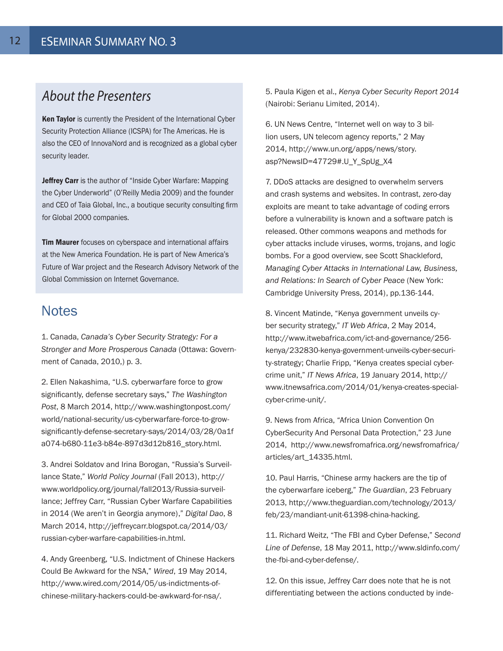# *About the Presenters*

Ken Taylor is currently the President of the International Cyber Security Protection Alliance (ICSPA) for The Americas. He is also the CEO of InnovaNord and is recognized as a global cyber security leader.

Jeffrey Carr is the author of "Inside Cyber Warfare: Mapping the Cyber Underworld" (O'Reilly Media 2009) and the founder and CEO of Taia Global, Inc., a boutique security consulting firm for Global 2000 companies.

**Tim Maurer** focuses on cyberspace and international affairs at the New America Foundation. He is part of New America's Future of War project and the Research Advisory Network of the Global Commission on Internet Governance.

#### **Notes**

1. Canada, *Canada's Cyber Security Strategy: For a Stronger and More Prosperous Canada* (Ottawa: Government of Canada, 2010,) p. 3.

2. Ellen Nakashima, "U.S. cyberwarfare force to grow significantly, defense secretary says," *The Washington Post*, 8 March 2014, http://www.washingtonpost.com/ world/national-security/us-cyberwarfare-force-to-growsignificantly-defense-secretary-says/2014/03/28/0a1f a074-b680-11e3-b84e-897d3d12b816\_story.html.

3. Andrei Soldatov and Irina Borogan, "Russia's Surveillance State," *World Policy Journal* (Fall 2013), http:// www.worldpolicy.org/journal/fall2013/Russia-surveillance; Jeffrey Carr, "Russian Cyber Warfare Capabilities in 2014 (We aren't in Georgia anymore)," *Digital Dao*, 8 March 2014, http://jeffreycarr.blogspot.ca/2014/03/ russian-cyber-warfare-capabilities-in.html.

4. Andy Greenberg, "U.S. Indictment of Chinese Hackers Could Be Awkward for the NSA," *Wired*, 19 May 2014, http://www.wired.com/2014/05/us-indictments-ofchinese-military-hackers-could-be-awkward-for-nsa/.

5. Paula Kigen et al., *Kenya Cyber Security Report 2014*  (Nairobi: Serianu Limited, 2014).

6. UN News Centre, "Internet well on way to 3 billion users, UN telecom agency reports," 2 May 2014, http://www.un.org/apps/news/story. asp?NewsID=47729#.U\_Y\_SpUg\_X4

7. DDoS attacks are designed to overwhelm servers and crash systems and websites. In contrast, zero-day exploits are meant to take advantage of coding errors before a vulnerability is known and a software patch is released. Other commons weapons and methods for cyber attacks include viruses, worms, trojans, and logic bombs. For a good overview, see Scott Shackleford, *Managing Cyber Attacks in International Law, Business, and Relations: In Search of Cyber Peace* (New York: Cambridge University Press, 2014), pp.136-144.

8. Vincent Matinde, "Kenya government unveils cyber security strategy," *IT Web Africa*, 2 May 2014, http://www.itwebafrica.com/ict-and-governance/256 kenya/232830-kenya-government-unveils-cyber-security-strategy; Charlie Fripp, "Kenya creates special cybercrime unit," *IT News Africa*, 19 January 2014, http:// www.itnewsafrica.com/2014/01/kenya-creates-specialcyber-crime-unit/.

9. News from Africa, "Africa Union Convention On CyberSecurity And Personal Data Protection," 23 June 2014, http://www.newsfromafrica.org/newsfromafrica/ articles/art\_14335.html.

10. Paul Harris, "Chinese army hackers are the tip of the cyberwarfare iceberg," *The Guardian*, 23 February 2013, http://www.theguardian.com/technology/2013/ feb/23/mandiant-unit-61398-china-hacking.

11. Richard Weitz, "The FBI and Cyber Defense," *Second Line of Defense*, 18 May 2011, http://www.sldinfo.com/ the-fbi-and-cyber-defense/.

12. On this issue, Jeffrey Carr does note that he is not differentiating between the actions conducted by inde-